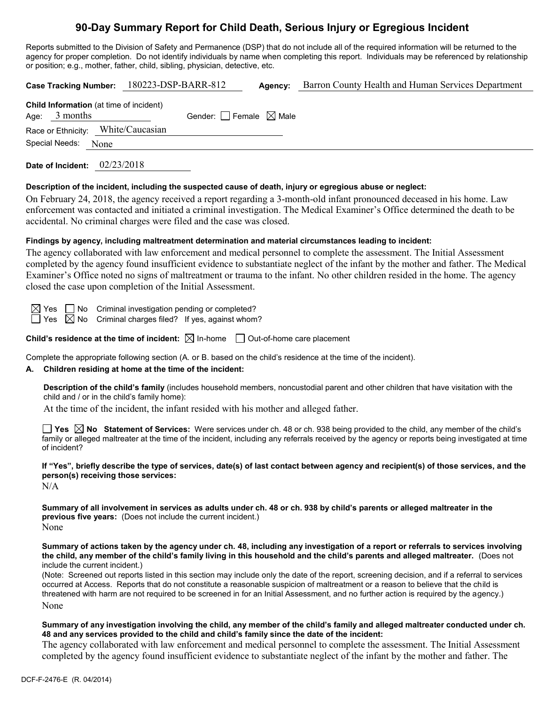# **90-Day Summary Report for Child Death, Serious Injury or Egregious Incident**

Reports submitted to the Division of Safety and Permanence (DSP) that do not include all of the required information will be returned to the agency for proper completion. Do not identify individuals by name when completing this report. Individuals may be referenced by relationship or position; e.g., mother, father, child, sibling, physician, detective, etc.

|                                                                   |      | Case Tracking Number: 180223-DSP-BARR-812 |                                 | Agency: | Barron County Health and Human Services Department |  |  |
|-------------------------------------------------------------------|------|-------------------------------------------|---------------------------------|---------|----------------------------------------------------|--|--|
| <b>Child Information</b> (at time of incident)<br>Age: $3$ months |      |                                           | Gender: Female $\boxtimes$ Male |         |                                                    |  |  |
| Race or Ethnicity: White/Caucasian                                |      |                                           |                                 |         |                                                    |  |  |
| Special Needs:                                                    | None |                                           |                                 |         |                                                    |  |  |
|                                                                   |      |                                           |                                 |         |                                                    |  |  |

**Date of Incident:** 02/23/2018

## **Description of the incident, including the suspected cause of death, injury or egregious abuse or neglect:**

On February 24, 2018, the agency received a report regarding a 3-month-old infant pronounced deceased in his home. Law enforcement was contacted and initiated a criminal investigation. The Medical Examiner's Office determined the death to be accidental. No criminal charges were filed and the case was closed.

## **Findings by agency, including maltreatment determination and material circumstances leading to incident:**

The agency collaborated with law enforcement and medical personnel to complete the assessment. The Initial Assessment completed by the agency found insufficient evidence to substantiate neglect of the infant by the mother and father. The Medical Examiner's Office noted no signs of maltreatment or trauma to the infant. No other children resided in the home. The agency closed the case upon completion of the Initial Assessment.

 $\boxtimes$  Yes  $\Box$  No Criminal investigation pending or completed?

 $\Box$  Yes  $\Box$  No Criminal charges filed? If yes, against whom?

**Child's residence at the time of incident:**  $\boxtimes$  In-home  $\Box$  Out-of-home care placement

Complete the appropriate following section (A. or B. based on the child's residence at the time of the incident).

## **A. Children residing at home at the time of the incident:**

**Description of the child's family** (includes household members, noncustodial parent and other children that have visitation with the child and / or in the child's family home):

At the time of the incident, the infant resided with his mother and alleged father.

■ Yes **△ No** Statement of Services: Were services under ch. 48 or ch. 938 being provided to the child, any member of the child's family or alleged maltreater at the time of the incident, including any referrals received by the agency or reports being investigated at time of incident?

**If "Yes", briefly describe the type of services, date(s) of last contact between agency and recipient(s) of those services, and the person(s) receiving those services:**

 $N/A$ 

**Summary of all involvement in services as adults under ch. 48 or ch. 938 by child's parents or alleged maltreater in the previous five years:** (Does not include the current incident.) None

**Summary of actions taken by the agency under ch. 48, including any investigation of a report or referrals to services involving the child, any member of the child's family living in this household and the child's parents and alleged maltreater.** (Does not include the current incident.)

(Note: Screened out reports listed in this section may include only the date of the report, screening decision, and if a referral to services occurred at Access. Reports that do not constitute a reasonable suspicion of maltreatment or a reason to believe that the child is threatened with harm are not required to be screened in for an Initial Assessment, and no further action is required by the agency.) None

#### **Summary of any investigation involving the child, any member of the child's family and alleged maltreater conducted under ch. 48 and any services provided to the child and child's family since the date of the incident:**

The agency collaborated with law enforcement and medical personnel to complete the assessment. The Initial Assessment completed by the agency found insufficient evidence to substantiate neglect of the infant by the mother and father. The